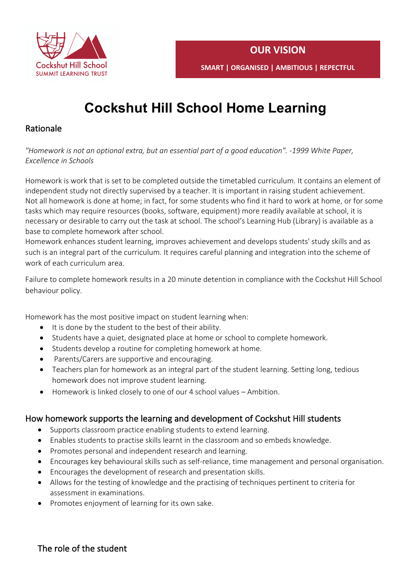

# **Cockshut Hill School Home Learning**

## Rationale

*"Homework is not an optional extra, but an essential part of a good education". -1999 White Paper, Excellence in Schools* 

Homework is work that is set to be completed outside the timetabled curriculum. It contains an element of independent study not directly supervised by a teacher. It is important in raising student achievement. Not all homework is done at home; in fact, for some students who find it hard to work at home, or for some tasks which may require resources (books, software, equipment) more readily available at school, it is necessary or desirable to carry out the task at school. The school's Learning Hub (Library) is available as a base to complete homework after school.

Homework enhances student learning, improves achievement and develops students' study skills and as such is an integral part of the curriculum. It requires careful planning and integration into the scheme of work of each curriculum area.

Failure to complete homework results in a 20 minute detention in compliance with the Cockshut Hill School behaviour policy.

Homework has the most positive impact on student learning when:

- It is done by the student to the best of their ability.
- Students have a quiet, designated place at home or school to complete homework.
- Students develop a routine for completing homework at home.
- Parents/Carers are supportive and encouraging.
- Teachers plan for homework as an integral part of the student learning. Setting long, tedious homework does not improve student learning.
- Homework is linked closely to one of our 4 school values Ambition.

## How homework supports the learning and development of Cockshut Hill students

- Supports classroom practice enabling students to extend learning.
- Enables students to practise skills learnt in the classroom and so embeds knowledge.
- Promotes personal and independent research and learning.
- Encourages key behavioural skills such as self-reliance, time management and personal organisation.
- Encourages the development of research and presentation skills.
- Allows for the testing of knowledge and the practising of techniques pertinent to criteria for assessment in examinations.
- Promotes enjoyment of learning for its own sake.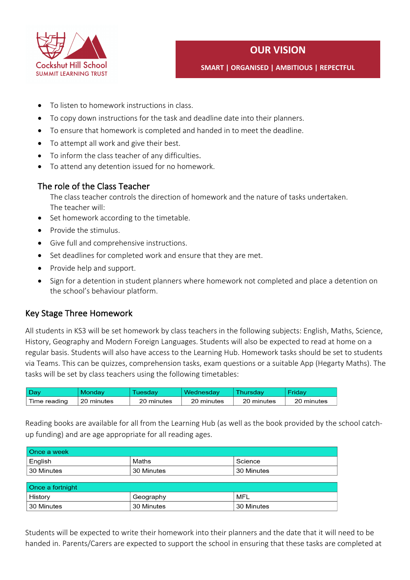

## **OUR VISION**

**SMART | ORGANISED | AMBITIOUS | REPECTFUL** 

- To listen to homework instructions in class.
- To copy down instructions for the task and deadline date into their planners.
- To ensure that homework is completed and handed in to meet the deadline.
- To attempt all work and give their best.
- To inform the class teacher of any difficulties.
- To attend any detention issued for no homework.

## The role of the Class Teacher

The class teacher controls the direction of homework and the nature of tasks undertaken. The teacher will:

- Set homework according to the timetable.
- Provide the stimulus.
- Give full and comprehensive instructions.
- Set deadlines for completed work and ensure that they are met.
- Provide help and support.
- Sign for a detention in student planners where homework not completed and place a detention on the school's behaviour platform.

## Key Stage Three Homework

All students in KS3 will be set homework by class teachers in the following subjects: English, Maths, Science, History, Geography and Modern Foreign Languages. Students will also be expected to read at home on a regular basis. Students will also have access to the Learning Hub. Homework tasks should be set to students via Teams. This can be quizzes, comprehension tasks, exam questions or a suitable App (Hegarty Maths). The tasks will be set by class teachers using the following timetables:

| ⊥Dav         | Mondav     | <b>Tuesdav</b> | Wednesday  | Thursdav   | Fridav     |
|--------------|------------|----------------|------------|------------|------------|
| Time reading | 20 minutes | 20 minutes     | 20 minutes | 20 minutes | 20 minutes |

Reading books are available for all from the Learning Hub (as well as the book provided by the school catchup funding) and are age appropriate for all reading ages.

| Once a week      |            |            |  |  |
|------------------|------------|------------|--|--|
| English          | Maths      | Science    |  |  |
| 30 Minutes       | 30 Minutes | 30 Minutes |  |  |
|                  |            |            |  |  |
| Once a fortnight |            |            |  |  |
| History          | Geography  | MFL        |  |  |
| 30 Minutes       | 30 Minutes | 30 Minutes |  |  |

Students will be expected to write their homework into their planners and the date that it will need to be handed in. Parents/Carers are expected to support the school in ensuring that these tasks are completed at